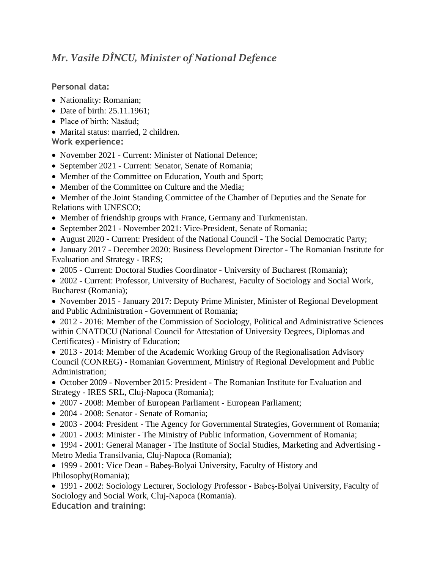## *Mr. Vasile DÎNCU, Minister of National Defence*

**Personal data:**

- Nationality: Romanian;
- Date of birth: 25.11.1961;
- Place of birth: Năsăud:
- Marital status: married, 2 children.

**Work experience:**

- November 2021 Current: Minister of National Defence:
- September 2021 Current: Senator, Senate of Romania;
- Member of the Committee on Education, Youth and Sport;
- Member of the Committee on Culture and the Media:
- Member of the Joint Standing Committee of the Chamber of Deputies and the Senate for Relations with UNESCO;
- Member of friendship groups with France, Germany and Turkmenistan.
- September 2021 November 2021: Vice-President, Senate of Romania;
- August 2020 Current: President of the National Council The Social Democratic Party;
- January 2017 December 2020: Business Development Director The Romanian Institute for Evaluation and Strategy - IRES;
- 2005 Current: Doctoral Studies Coordinator University of Bucharest (Romania);
- 2002 Current: Professor, University of Bucharest, Faculty of Sociology and Social Work, Bucharest (Romania);
- November 2015 January 2017: Deputy Prime Minister, Minister of Regional Development and Public Administration - Government of Romania;
- 2012 2016: Member of the Commission of Sociology, Political and Administrative Sciences within CNATDCU (National Council for Attestation of University Degrees, Diplomas and Certificates) - Ministry of Education;
- 2013 2014: Member of the Academic Working Group of the Regionalisation Advisory Council (CONREG) - Romanian Government, Ministry of Regional Development and Public Administration;
- October 2009 November 2015: President The Romanian Institute for Evaluation and Strategy - IRES SRL, Cluj-Napoca (Romania);
- 2007 2008: Member of European Parliament European Parliament;
- 2004 2008: Senator Senate of Romania;
- 2003 2004: President The Agency for Governmental Strategies, Government of Romania;
- 2001 2003: Minister The Ministry of Public Information, Government of Romania;
- 1994 2001: General Manager The Institute of Social Studies, Marketing and Advertising Metro Media Transilvania, Cluj-Napoca (Romania);

• 1999 - 2001: Vice Dean - Babeș-Bolyai University, Faculty of History and Philosophy(Romania);

• 1991 - 2002: Sociology Lecturer, Sociology Professor - Babeş-Bolyai University, Faculty of Sociology and Social Work, Cluj-Napoca (Romania). **Education and training:**